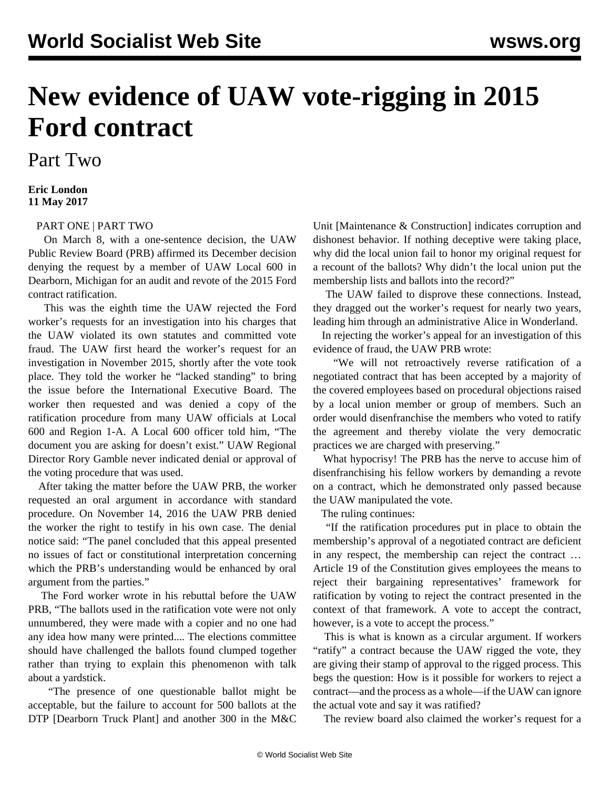## **New evidence of UAW vote-rigging in 2015 Ford contract**

## Part Two

## **Eric London 11 May 2017**

## [PART ONE](/en/articles/2017/05/09/uaw-m09.html) | [PART TWO](/en/articles/2017/05/11/uaw-m11.html)

 On March 8, with a one-sentence decision, the UAW Public Review Board (PRB) affirmed its December decision denying the request by a member of UAW Local 600 in Dearborn, Michigan for an audit and revote of the 2015 Ford contract ratification.

 This was the eighth time the UAW rejected the Ford worker's requests for an investigation into his charges that the UAW violated its own statutes and committed vote fraud. The UAW first heard the worker's request for an investigation in November 2015, shortly after the vote took place. They told the worker he "lacked standing" to bring the issue before the International Executive Board. The worker then requested and was denied a copy of the ratification procedure from many UAW officials at Local 600 and Region 1-A. A Local 600 officer told him, "The document you are asking for doesn't exist." UAW Regional Director Rory Gamble never indicated denial or approval of the voting procedure that was used.

 After taking the matter before the UAW PRB, the worker requested an oral argument in accordance with standard procedure. On November 14, 2016 the UAW PRB denied the worker the right to testify in his own case. The denial notice said: "The panel concluded that this appeal presented no issues of fact or constitutional interpretation concerning which the PRB's understanding would be enhanced by oral argument from the parties."

 The Ford worker wrote in his rebuttal before the UAW PRB, "The ballots used in the ratification vote were not only unnumbered, they were made with a copier and no one had any idea how many were printed.... The elections committee should have challenged the ballots found clumped together rather than trying to explain this phenomenon with talk about a yardstick.

 "The presence of one questionable ballot might be acceptable, but the failure to account for 500 ballots at the DTP [Dearborn Truck Plant] and another 300 in the M&C Unit [Maintenance & Construction] indicates corruption and dishonest behavior. If nothing deceptive were taking place, why did the local union fail to honor my original request for a recount of the ballots? Why didn't the local union put the membership lists and ballots into the record?"

 The UAW failed to disprove these connections. Instead, they dragged out the worker's request for nearly two years, leading him through an administrative Alice in Wonderland.

 In rejecting the worker's appeal for an investigation of this evidence of fraud, the UAW PRB wrote:

 "We will not retroactively reverse ratification of a negotiated contract that has been accepted by a majority of the covered employees based on procedural objections raised by a local union member or group of members. Such an order would disenfranchise the members who voted to ratify the agreement and thereby violate the very democratic practices we are charged with preserving."

 What hypocrisy! The PRB has the nerve to accuse him of disenfranchising his fellow workers by demanding a revote on a contract, which he demonstrated only passed because the UAW manipulated the vote.

The ruling continues:

 "If the ratification procedures put in place to obtain the membership's approval of a negotiated contract are deficient in any respect, the membership can reject the contract … Article 19 of the Constitution gives employees the means to reject their bargaining representatives' framework for ratification by voting to reject the contract presented in the context of that framework. A vote to accept the contract, however, is a vote to accept the process."

 This is what is known as a circular argument. If workers "ratify" a contract because the UAW rigged the vote, they are giving their stamp of approval to the rigged process. This begs the question: How is it possible for workers to reject a contract—and the process as a whole—if the UAW can ignore the actual vote and say it was ratified?

The review board also claimed the worker's request for a